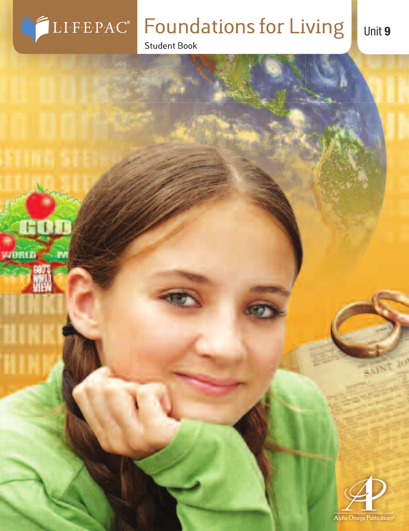

yaprın,

M

# **Foundations for Living**

**Student Book** 



SAINT JO

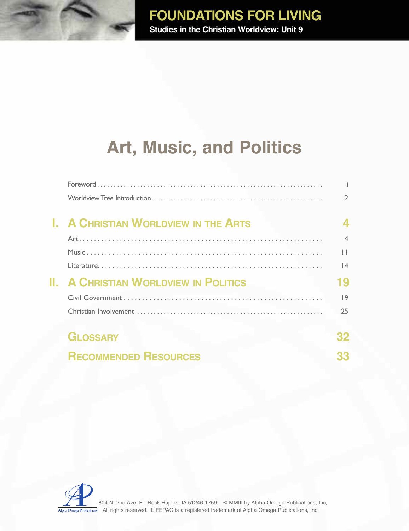# **art, music, and Politics**

|                                             | ii.                      |
|---------------------------------------------|--------------------------|
|                                             |                          |
| <b>I. A CHRISTIAN WORLDVIEW IN THE ARTS</b> |                          |
|                                             | $\overline{\mathcal{A}}$ |
|                                             | $\mathsf{L}$             |
|                                             | 4                        |
| <b>A CHRISTIAN WORLDVIEW IN POLITICS</b>    | 19                       |
|                                             | 9                        |
|                                             | 25                       |
| <b>GLOSSARY</b>                             |                          |
| <b>RECOMMENDED RESOURCES</b>                |                          |

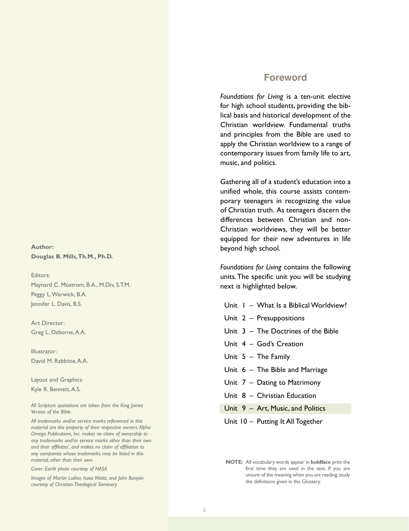#### **Author: Douglas B. Mills,Th.M., Ph.D.**

Editors: Maynard C. Mostrom, B.A., M.Div, S.T.M. Peggy L.Warwick, B.A. Jennifer L. Davis, B.S.

Art Director: Greg L. Osborne,A.A.

Illustrator: David M. Rabbitte, A.A.

Layout and Graphics:

Kyle R. Bennett,A.S.

*All Scripture quotations are taken from the King James Version of the Bible.*

*All trademarks and/or service marks referenced in this material are the property of their respective owners.Alpha Omega Publications, Inc. makes no claim of ownership to any trademarks and/or service marks other than their own and their affiliates', and makes no claim of affiliation to any companies whose trademarks may be listed in this material, other than their own.*

*Cover: Earth photo courtesy of NASA*

*Images of Martin Luther, Isaac Watts, and John Bunyan courtesy of Christian Theological Seminary*

#### **Foreword**

*Foundations for Living* is a ten-unit elective for high school students, providing the biblical basis and historical development of the Christian worldview. Fundamental truths and principles from the Bible are used to apply the Christian worldview to a range of contemporary issues from family life to art, music, and politics.

Gathering all of a student's education into a unified whole, this course assists contemporary teenagers in recognizing the value of Christian truth. As teenagers discern the differences between Christian and non-Christian worldviews, they will be better equipped for their new adventures in life beyond high school.

*Foundations for Living* contains the following units.The specific unit you will be studying next is highlighted below.

- Unit  $1 -$  What Is a Biblical Worldview?
- Unit 2 Presuppositions
- Unit 3 The Doctrines of the Bible
- Unit 4 God's Creation
- Unit 5 The Family
- Unit 6 The Bible and Marriage
- Unit 7 Dating to Matrimony
- Unit 8 Christian Education
- Unit 9 Art, Music, and Politics
- Unit 10 Putting It All Together

**NOTE:** All vocabulary words appear in **boldface** print the first time they are used in the text. If you are unsure of the meaning when you are reading, study the definitions given in the Glossary.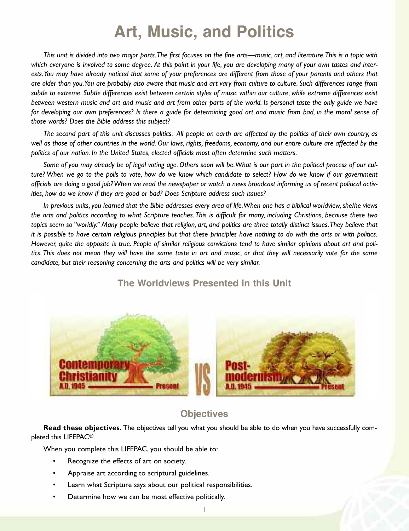## **art, music, and Politics**

This unit is divided into two major parts. The first focuses on the fine arts—music, art, and literature. This is a topic with which everyone is involved to some degree. At this point in your life, you are developing many of your own tastes and interests. You may have already noticed that some of your preferences are different from those of your parents and others that are older than you. You are probably also aware that music and art vary from culture to culture. Such differences range from subtle to extreme. Subtle differences exist between certain styles of music within our culture, while extreme differences exist between western music and art and music and art from other parts of the world. Is personal taste the only guide we have for developing our own preferences? Is there a guide for determining good art and music from bad, in the moral sense of *those words? Does the Bible address this subject?*

The second part of this unit discusses politics. All people on earth are affected by the politics of their own country, as well as those of other countries in the world. Our laws, rights, freedoms, economy, and our entire culture are affected by the *politics of our nation. In the United States, elected officials most often determine such matters.*

Some of you may already be of legal voting age. Others soon will be. What is our part in the political process of our culture? When we go to the polls to vote, how do we know which candidate to select? How do we know if our government officials are doing a good job? When we read the newspaper or watch a news broadcast informing us of recent political activ*ities, how do we know if they are good or bad? Does Scripture address such issues?*

In previous units, you learned that the Bible addresses every area of life. When one has a biblical worldview, she/he views the arts and politics according to what Scripture teaches. This is difficult for many, including Christians, because these two topics seem so "worldly." Many people believe that religion, art, and politics are three totally distinct issues. They believe that it is possible to have certain religious principles but that these principles have nothing to do with the arts or with politics. However, quite the opposite is true. People of similar religious convictions tend to have similar opinions about art and politics. This does not mean they will have the same taste in art and music, or that they will necessarily vote for the same *candidate, but their reasoning concerning the arts and politics will be very similar.*



#### **the Worldviews Presented in this Unit**

#### **objectives**

**Read these objectives.** The objectives tell you what you should be able to do when you have successfully completed this LIFEPAC®.

When you complete this LIFEPAC, you should be able to:

- Recognize the effects of art on society.
- Appraise art according to scriptural guidelines.
- Learn what Scripture says about our political responsibilities.
- Determine how we can be most effective politically.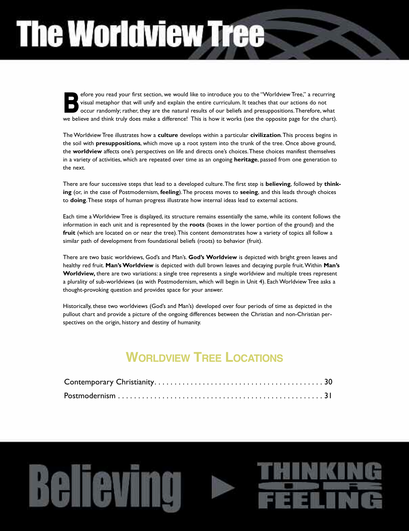# **The Worldview Tree**

efore you read your first section, we would like to introduce you to the "Worldview Tree," a recurring visual metaphor that will unify and explain the entire curriculum. It teaches that our actions do not occur randomly; rather, they are the natural results of our beliefs and presuppositions.Therefore, what efore you read your first section, we would like to introduce you to the "Worldview Tree," a recurring visual metaphor that will unify and explain the entire curriculum. It teaches that our actions do not occur randomly; r

The Worldview Tree illustrates how a **culture** develops within a particular **civilization**.This process begins in the soil with **presuppositions**, which move up a root system into the trunk of the tree. Once above ground, the **worldview** affects one's perspectives on life and directs one's choices.These choices manifest themselves in a variety of activities, which are repeated over time as an ongoing **heritage**, passed from one generation to the next.

There are four successive steps that lead to a developed culture.The first step is **believing**, followed by **thinking** (or, in the case of Postmodernism, **feeling**).The process moves to **seeing**, and this leads through choices to **doing**.These steps of human progress illustrate how internal ideas lead to external actions.

Each time a Worldview Tree is displayed, its structure remains essentially the same, while its content follows the information in each unit and is represented by the **roots** (boxes in the lower portion of the ground) and the **fruit** (which are located on or near the tree).This content demonstrates how a variety of topics all follow a similar path of development from foundational beliefs (roots) to behavior (fruit).

There are two basic worldviews, God's and Man's. **God's Worldview** is depicted with bright green leaves and healthy red fruit. **Man'sWorldview** is depicted with dull brown leaves and decaying purple fruit.Within **Man's Worldview,** there are two variations: a single tree represents a single worldview and multiple trees represent a plurality of sub-worldviews (as with Postmodernism, which will begin in Unit 4). Each Worldview Tree asks a thought-provoking question and provides space for your answer.

Historically, these two worldviews (God's and Man's) developed over four periods of time as depicted in the pullout chart and provide a picture of the ongoing differences between the Christian and non-Christian perspectives on the origin, history and destiny of humanity.

## **WorLdvieW tree LoCationS**

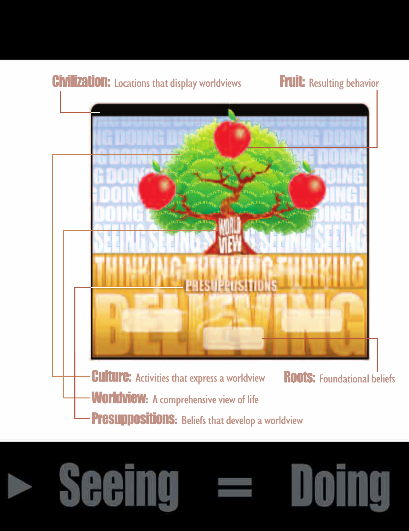





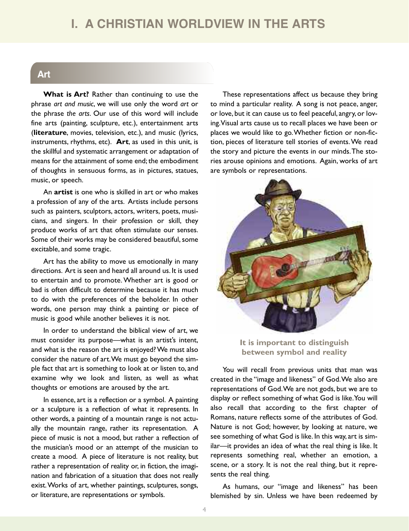### **i. a ChriStian WorLdvieW in the artS**

#### **art**

**What is Art?** Rather than continuing to use the phrase *art and music*, we will use only the word *art* or the phrase *the arts*. Our use of this word will include fine arts (painting, sculpture, etc.), entertainment arts (**literature**, movies, television, etc.), and music (lyrics, instruments, rhythms, etc). **Art**, as used in this unit, is the skillful and systematic arrangement or adaptation of means for the attainment of some end; the embodiment of thoughts in sensuous forms, as in pictures, statues, music, or speech.

An **artist** is one who is skilled in art or who makes a profession of any of the arts. Artists include persons such as painters, sculptors, actors, writers, poets, musicians, and singers. In their profession or skill, they produce works of art that often stimulate our senses. Some of their works may be considered beautiful, some excitable, and some tragic.

Art has the ability to move us emotionally in many directions. Art is seen and heard all around us. It is used to entertain and to promote.Whether art is good or bad is often difficult to determine because it has much to do with the preferences of the beholder. In other words, one person may think a painting or piece of music is good while another believes it is not.

In order to understand the biblical view of art, we must consider its purpose—what is an artist's intent, and what is the reason the art is enjoyed?We must also consider the nature of art.We must go beyond the simple fact that art is something to look at or listen to, and examine why we look and listen, as well as what thoughts or emotions are aroused by the art.

In essence, art is a reflection or a symbol. A painting or a sculpture is a reflection of what it represents. In other words, a painting of a mountain range is not actually the mountain range, rather its representation. A piece of music is not a mood, but rather a reflection of the musician's mood or an attempt of the musician to create a mood. A piece of literature is not reality, but rather a representation of reality or, in fiction, the imagination and fabrication of a situation that does not really exist.Works of art, whether paintings, sculptures, songs, or literature, are representations or symbols.

These representations affect us because they bring to mind a particular reality. A song is not peace, anger, or love, but it can cause us to feel peaceful, angry, or loving.Visual arts cause us to recall places we have been or places we would like to go.Whether fiction or non-fiction, pieces of literature tell stories of events.We read the story and picture the events in our minds.The stories arouse opinions and emotions. Again, works of art are symbols or representations.



**It is important to distinguish between symbol and reality**

You will recall from previous units that man was created in the "image and likeness" of God.We also are representations of God.We are not gods, but we are to display or reflect something of what God is like.You will also recall that according to the first chapter of Romans, nature reflects some of the attributes of God. Nature is not God; however, by looking at nature, we see something of what God is like. In this way, art is similar—it provides an idea of what the real thing is like. It represents something real, whether an emotion, a scene, or a story. It is not the real thing, but it represents the real thing.

As humans, our "image and likeness" has been blemished by sin. Unless we have been redeemed by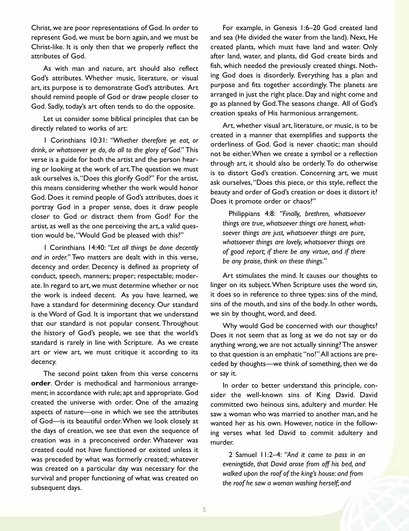Christ, we are poor representations of God. In order to represent God, we must be born again, and we must be Christ-like. It is only then that we properly reflect the attributes of God.

As with man and nature, art should also reflect God's attributes. Whether music, literature, or visual art, its purpose is to demonstrate God's attributes. Art should remind people of God or draw people closer to God. Sadly, today's art often tends to do the opposite.

Let us consider some biblical principles that can be directly related to works of art:

1 Corinthians 10:31: *"Whether therefore ye eat, or drink, or whatsoever ye do, do all to the glory of God."* This verse is a guide for both the artist and the person hearing or looking at the work of art.The question we must ask ourselves is,"Does this glorify God?" For the artist, this means considering whether the work would honor God. Does it remind people of God's attributes, does it portray God in a proper sense, does it draw people closer to God or distract them from God? For the artist, as well as the one perceiving the art, a valid question would be,"Would God be pleased with this?"

1 Corinthians 14:40: *"Let all things be done decently and in order."* Two matters are dealt with in this verse, decency and order. Decency is defined as propriety of conduct, speech, manners; proper; respectable; moderate. In regard to art, we must determine whether or not the work is indeed decent. As you have learned, we have a standard for determining decency. Our standard is theWord of God. It is important that we understand that our standard is not popular consent. Throughout the history of God's people, we see that the world's standard is rarely in line with Scripture. As we create art or view art, we must critique it according to its decency.

The second point taken from this verse concerns **order**. Order is methodical and harmonious arrangement; in accordance with rule; apt and appropriate. God created the universe with order. One of the amazing aspects of nature—one in which we see the attributes of God—is its beautiful order.When we look closely at the days of creation, we see that even the sequence of creation was in a preconceived order. Whatever was created could not have functioned or existed unless it was preceded by what was formerly created; whatever was created on a particular day was necessary for the survival and proper functioning of what was created on subsequent days.

For example, in Genesis 1:6–20 God created land and sea (He divided the water from the land). Next, He created plants, which must have land and water. Only after land, water, and plants, did God create birds and fish, which needed the previously created things. Nothing God does is disorderly. Everything has a plan and purpose and fits together accordingly. The planets are arranged in just the right place. Day and night come and go as planned by God.The seasons change. All of God's creation speaks of His harmonious arrangement.

Art, whether visual art, literature, or music, is to be created in a manner that exemplifies and supports the orderliness of God. God is never chaotic; man should not be either.When we create a symbol or a reflection through art, it should also be orderly.To do otherwise is to distort God's creation. Concerning art, we must ask ourselves,"Does this piece, or this style, reflect the beauty and order of God's creation or does it distort it? Does it promote order or chaos?"

Philippians 4:8: *"Finally, brethren, whatsoever things are true, whatsoever things are honest, whatsoever things are just, whatsoever things are pure, whatsoever things are lovely, whatsoever things are of good report; if there be any virtue, and if there be any praise, think on these things."*

Art stimulates the mind. It causes our thoughts to linger on its subject.When Scripture uses the word *sin*, it does so in reference to three types: sins of the mind, sins of the mouth, and sins of the body. In other words, we sin by thought, word, and deed.

Why would God be concerned with our thoughts? Does it not seem that as long as we do not say or do anything wrong, we are not actually sinning?The answer to that question is an emphatic "no!"All actions are preceded by thoughts—we think of something, then we do or say it.

In order to better understand this principle, consider the well-known sins of King David. David committed two heinous sins, adultery and murder. He saw a woman who was married to another man, and he wanted her as his own. However, notice in the following verses what led David to commit adultery and murder.

2 Samuel 11:2–4: *"And it came to pass in an eveningtide, that David arose from off his bed, and walked upon the roof of the king's house: and from the roof he saw a woman washing herself; and*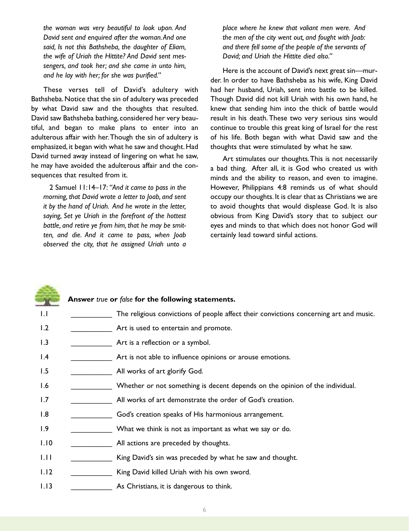*the woman was very beautiful to look upon. And David sent and enquired after the woman.And one said, Is not this Bathsheba, the daughter of Eliam, the wife of Uriah the Hittite? And David sent messengers, and took her; and she came in unto him, and he lay with her; for she was purified."*

These verses tell of David's adultery with Bathsheba.Notice that the sin of adultery was preceded by what David saw and the thoughts that resulted. David saw Bathsheba bathing, considered her very beautiful, and began to make plans to enter into an adulterous affair with her.Though the sin of adultery is emphasized, it began with what he saw and thought. Had David turned away instead of lingering on what he saw, he may have avoided the adulterous affair and the consequences that resulted from it.

2 Samuel 11:14–17: *"And it came to pass in the morning, that David wrote a letter to Joab, and sent it by the hand of Uriah. And he wrote in the letter, saying, Set ye Uriah in the forefront of the hottest battle, and retire ye from him, that he may be smitten, and die. And it came to pass, when Joab observed the city, that he assigned Uriah unto a*

*place where he knew that valiant men were. And the men of the city went out, and fought with Joab: and there fell some of the people of the servants of David; and Uriah the Hittite died also."*

Here is the account of David's next great sin—murder. In order to have Bathsheba as his wife, King David had her husband, Uriah, sent into battle to be killed. Though David did not kill Uriah with his own hand, he knew that sending him into the thick of battle would result in his death.These two very serious sins would continue to trouble this great king of Israel for the rest of his life. Both began with what David saw and the thoughts that were stimulated by what he saw.

Art stimulates our thoughts.This is not necessarily a bad thing. After all, it is God who created us with minds and the ability to reason, and even to imagine. However, Philippians 4:8 reminds us of what should occupy our thoughts. It is clear that as Christians we are to avoid thoughts that would displease God. It is also obvious from King David's story that to subject our eyes and minds to that which does not honor God will certainly lead toward sinful actions.

#### **Answer** *true* **or** *false* **for the following statements.**

- 1.1 \_\_\_\_\_\_\_\_\_\_\_\_\_\_\_ The religious convictions of people affect their convictions concerning art and music.
- 1.2 \_\_\_\_\_\_\_\_\_\_\_\_\_\_\_\_\_\_\_\_\_ Art is used to entertain and promote.
- 1.3 **Art is a reflection or a symbol.**
- 1.4 **I.4** \_\_\_\_\_\_\_\_\_\_\_\_\_\_\_\_ Art is not able to influence opinions or arouse emotions.
- 1.5 \_\_\_\_\_\_\_\_\_\_\_\_\_\_\_\_\_\_\_\_ All works of art glorify God.
- 1.6 \_\_\_\_\_\_\_\_\_\_\_\_\_\_ Whether or not something is decent depends on the opinion of the individual.
- 1.7 **All works of art demonstrate the order of God's creation.**
- 1.8 **\_\_\_\_\_\_\_\_\_\_\_\_** God's creation speaks of His harmonious arrangement.
- 1.9 What we think is not as important as what we say or do.
- 1.10 **All actions are preceded by thoughts.**
- 1.11 King David's sin was preceded by what he saw and thought.
- 1.12 \_\_\_\_\_\_\_\_\_\_\_\_\_\_ King David killed Uriah with his own sword.
- 1.13 **As Christians, it is dangerous to think.**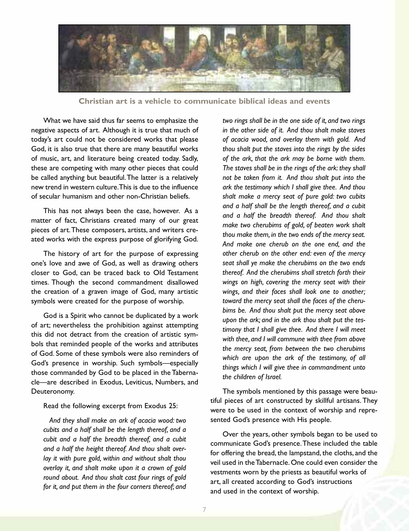

**Christian art is a vehicle to communicate biblical ideas and events**

What we have said thus far seems to emphasize the negative aspects of art. Although it is true that much of today's art could not be considered works that please God, it is also true that there are many beautiful works of music, art, and literature being created today. Sadly, these are competing with many other pieces that could be called anything but beautiful.The latter is a relatively new trend in western culture.This is due to the influence of secular humanism and other non-Christian beliefs.

This has not always been the case, however. As a matter of fact, Christians created many of our great pieces of art.These composers, artists, and writers created works with the express purpose of glorifying God.

The history of art for the purpose of expressing one's love and awe of God, as well as drawing others closer to God, can be traced back to Old Testament times. Though the second commandment disallowed the creation of a graven image of God, many artistic symbols were created for the purpose of worship.

God is a Spirit who cannot be duplicated by a work of art; nevertheless the prohibition against attempting this did not detract from the creation of artistic symbols that reminded people of the works and attributes of God. Some of these symbols were also reminders of God's presence in worship. Such symbols—especially those commanded by God to be placed in the Tabernacle—are described in Exodus, Leviticus, Numbers, and Deuteronomy.

Read the following excerpt from Exodus 25:

*And they shall make an ark of acacia wood: two cubits and a half shall be the length thereof, and a cubit and a half the breadth thereof, and a cubit and a half the height thereof. And thou shalt overlay it with pure gold, within and without shalt thou overlay it, and shalt make upon it a crown of gold round about. And thou shalt cast four rings of gold for it, and put them in the four corners thereof; and* *two rings shall be in the one side of it, and two rings in the other side of it. And thou shalt make staves of acacia wood, and overlay them with gold. And thou shalt put the staves into the rings by the sides of the ark, that the ark may be borne with them. The staves shall be in the rings of the ark: they shall not be taken from it. And thou shalt put into the ark the testimony which I shall give thee. And thou shalt make a mercy seat of pure gold: two cubits and a half shall be the length thereof, and a cubit and a half the breadth thereof. And thou shalt make two cherubims of gold, of beaten work shalt thou make them, in the two ends of the mercy seat. And make one cherub on the one end, and the other cherub on the other end: even of the mercy seat shall ye make the cherubims on the two ends thereof. And the cherubims shall stretch forth their wings on high, covering the mercy seat with their wings, and their faces shall look one to another; toward the mercy seat shall the faces of the cherubims be. And thou shalt put the mercy seat above upon the ark; and in the ark thou shalt put the testimony that I shall give thee. And there I will meet with thee, and I will commune with thee from above the mercy seat, from between the two cherubims which are upon the ark of the testimony, of all things which I will give thee in commandment unto the children of Israel.*

The symbols mentioned by this passage were beautiful pieces of art constructed by skillful artisans. They were to be used in the context of worship and represented God's presence with His people.

Over the years, other symbols began to be used to communicate God's presence.These included the table for offering the bread, the lampstand, the cloths, and the veil used in theTabernacle. One could even consider the vestments worn by the priests as beautiful works of art, all created according to God's instructions and used in the context of worship.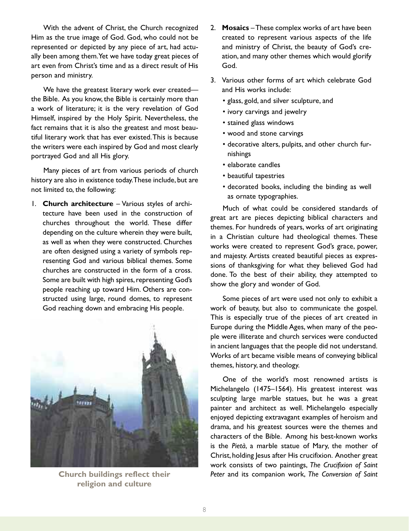With the advent of Christ, the Church recognized Him as the true image of God. God, who could not be represented or depicted by any piece of art, had actually been among them.Yet we have today great pieces of art even from Christ's time and as a direct result of His person and ministry.

We have the greatest literary work ever createdthe Bible. As you know, the Bible is certainly more than a work of literature; it is the very revelation of God Himself, inspired by the Holy Spirit. Nevertheless, the fact remains that it is also the greatest and most beautiful literary work that has ever existed.This is because the writers were each inspired by God and most clearly portrayed God and all His glory.

Many pieces of art from various periods of church history are also in existence today.These include, but are not limited to, the following:

1. **Church architecture** – Various styles of architecture have been used in the construction of churches throughout the world. These differ depending on the culture wherein they were built, as well as when they were constructed. Churches are often designed using a variety of symbols representing God and various biblical themes. Some churches are constructed in the form of a cross. Some are built with high spires, representing God's people reaching up toward Him. Others are constructed using large, round domes, to represent God reaching down and embracing His people.



**religion and culture**

- 2. **Mosaics** –These complex works of art have been created to represent various aspects of the life and ministry of Christ, the beauty of God's creation, and many other themes which would glorify God.
- 3. Various other forms of art which celebrate God and His works include:
	- glass, gold, and silver sculpture, and
	- ivory carvings and jewelry
	- stained glass windows
	- wood and stone carvings
	- decorative alters, pulpits, and other church furnishings
	- elaborate candles
	- beautiful tapestries
	- decorated books, including the binding as well as ornate typographies.

Much of what could be considered standards of great art are pieces depicting biblical characters and themes. For hundreds of years, works of art originating in a Christian culture had theological themes. These works were created to represent God's grace, power, and majesty. Artists created beautiful pieces as expressions of thanksgiving for what they believed God had done. To the best of their ability, they attempted to show the glory and wonder of God.

Some pieces of art were used not only to exhibit a work of beauty, but also to communicate the gospel. This is especially true of the pieces of art created in Europe during the Middle Ages, when many of the people were illiterate and church services were conducted in ancient languages that the people did not understand. Works of art became visible means of conveying biblical themes, history, and theology.

One of the world's most renowned artists is Michelangelo (1475–1564). His greatest interest was sculpting large marble statues, but he was a great painter and architect as well. Michelangelo especially enjoyed depicting extravagant examples of heroism and drama, and his greatest sources were the themes and characters of the Bible. Among his best-known works is the *Pietà*, a marble statue of Mary, the mother of Christ, holding Jesus after His crucifixion. Another great work consists of two paintings, *The Crucifixion of Saint* **Church buildings reflect their** *Peter* and its companion work, *The Conversion of Saint*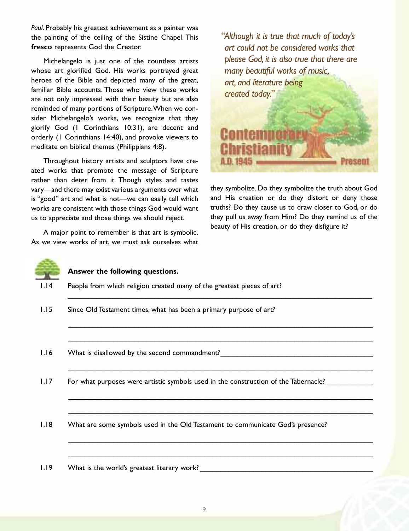*Paul*. Probably his greatest achievement as a painter was the painting of the ceiling of the Sistine Chapel. This **fresco** represents God the Creator.

Michelangelo is just one of the countless artists whose art glorified God. His works portrayed great heroes of the Bible and depicted many of the great, familiar Bible accounts. Those who view these works are not only impressed with their beauty but are also reminded of many portions of Scripture.When we consider Michelangelo's works, we recognize that they glorify God (1 Corinthians 10:31), are decent and orderly (1 Corinthians 14:40), and provoke viewers to meditate on biblical themes (Philippians 4:8).

Throughout history artists and sculptors have created works that promote the message of Scripture rather than deter from it. Though styles and tastes vary—and there may exist various arguments over what is "good" art and what is not—we can easily tell which works are consistent with those things God would want us to appreciate and those things we should reject.

A major point to remember is that art is symbolic. As we view works of art, we must ask ourselves what



they symbolize. Do they symbolize the truth about God and His creation or do they distort or deny those truths? Do they cause us to draw closer to God, or do they pull us away from Him? Do they remind us of the beauty of His creation, or do they disfigure it?



#### **Answer the following questions.**

1.14 People from which religion created many of the greatest pieces of art?

\_\_\_\_\_\_\_\_\_\_\_\_\_\_\_\_\_\_\_\_\_\_\_\_\_\_\_\_\_\_\_\_\_\_\_\_\_\_\_\_\_\_\_\_\_\_\_\_\_\_\_\_\_\_\_\_\_\_\_\_\_\_\_\_\_\_\_\_\_\_\_\_\_\_

\_\_\_\_\_\_\_\_\_\_\_\_\_\_\_\_\_\_\_\_\_\_\_\_\_\_\_\_\_\_\_\_\_\_\_\_\_\_\_\_\_\_\_\_\_\_\_\_\_\_\_\_\_\_\_\_\_\_\_\_\_\_\_\_\_\_\_\_\_\_\_\_\_\_

\_\_\_\_\_\_\_\_\_\_\_\_\_\_\_\_\_\_\_\_\_\_\_\_\_\_\_\_\_\_\_\_\_\_\_\_\_\_\_\_\_\_\_\_\_\_\_\_\_\_\_\_\_\_\_\_\_\_\_\_\_\_\_\_\_\_\_\_\_\_\_\_\_\_

\_\_\_\_\_\_\_\_\_\_\_\_\_\_\_\_\_\_\_\_\_\_\_\_\_\_\_\_\_\_\_\_\_\_\_\_\_\_\_\_\_\_\_\_\_\_\_\_\_\_\_\_\_\_\_\_\_\_\_\_\_\_\_\_\_\_\_\_\_\_\_\_\_\_

\_\_\_\_\_\_\_\_\_\_\_\_\_\_\_\_\_\_\_\_\_\_\_\_\_\_\_\_\_\_\_\_\_\_\_\_\_\_\_\_\_\_\_\_\_\_\_\_\_\_\_\_\_\_\_\_\_\_\_\_\_\_\_\_\_\_\_\_\_\_\_\_\_\_

\_\_\_\_\_\_\_\_\_\_\_\_\_\_\_\_\_\_\_\_\_\_\_\_\_\_\_\_\_\_\_\_\_\_\_\_\_\_\_\_\_\_\_\_\_\_\_\_\_\_\_\_\_\_\_\_\_\_\_\_\_\_\_\_\_\_\_\_\_\_\_\_\_\_

\_\_\_\_\_\_\_\_\_\_\_\_\_\_\_\_\_\_\_\_\_\_\_\_\_\_\_\_\_\_\_\_\_\_\_\_\_\_\_\_\_\_\_\_\_\_\_\_\_\_\_\_\_\_\_\_\_\_\_\_\_\_\_\_\_\_\_\_\_\_\_\_\_\_

\_\_\_\_\_\_\_\_\_\_\_\_\_\_\_\_\_\_\_\_\_\_\_\_\_\_\_\_\_\_\_\_\_\_\_\_\_\_\_\_\_\_\_\_\_\_\_\_\_\_\_\_\_\_\_\_\_\_\_\_\_\_\_\_\_\_\_\_\_\_\_\_\_\_

- 1.15 Since Old Testament times, what has been a primary purpose of art?
- 1.16 What is disallowed by the second commandment?
- 1.17 For what purposes were artistic symbols used in the construction of the Tabernacle?

1.18 What are some symbols used in the Old Testament to communicate God's presence?

1.19 What is the world's greatest literary work? \_\_\_\_\_\_\_\_\_\_\_\_\_\_\_\_\_\_\_\_\_\_\_\_\_\_\_\_\_\_\_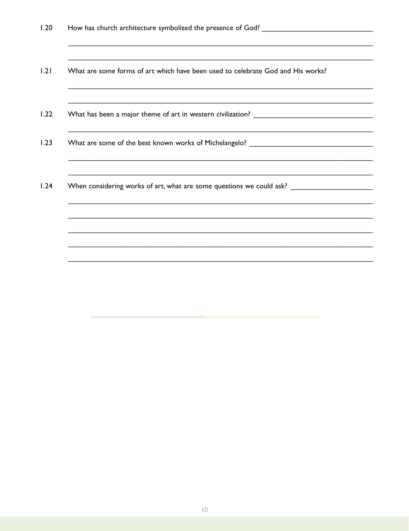$1.21$ What are some forms of art which have been used to celebrate God and His works?

 $1.22$ 

 $1.23$ 

 $1.24$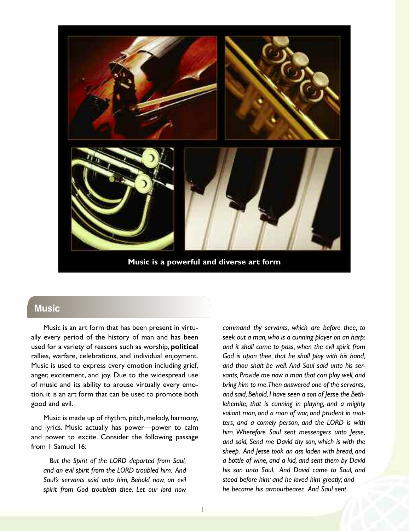

**Music is a powerful and diverse art form**

#### **music**

Music is an art form that has been present in virtually every period of the history of man and has been used for a variety of reasons such as worship, **political** rallies, warfare, celebrations, and individual enjoyment. Music is used to express every emotion including grief, anger, excitement, and joy. Due to the widespread use of music and its ability to arouse virtually every emotion, it is an art form that can be used to promote both good and evil.

Music is made up of rhythm, pitch, melody, harmony, and lyrics. Music actually has power—power to calm and power to excite. Consider the following passage from 1 Samuel 16:

*But the Spirit of the LORD departed from Saul, and an evil spirit from the LORD troubled him. And Saul's servants said unto him, Behold now, an evil spirit from God troubleth thee. Let our lord now* *command thy servants, which are before thee, to seek out a man,who is a cunning player on an harp: and it shall come to pass, when the evil spirit from God is upon thee, that he shall play with his hand, and thou shalt be well. And Saul said unto his servants, Provide me now a man that can play well, and bring him to me.Then answered one of the servants, and said, Behold, I have seen a son of Jesse the Bethlehemite, that is cunning in playing, and a mighty valiant man, and a man of war, and prudent in matters, and a comely person, and the LORD is with him. Wherefore Saul sent messengers unto Jesse, and said, Send me David thy son, which is with the sheep. And Jesse took an ass laden with bread, and a bottle of wine, and a kid, and sent them by David his son unto Saul. And David came to Saul, and stood before him: and he loved him greatly; and he became his armourbearer. And Saul sent*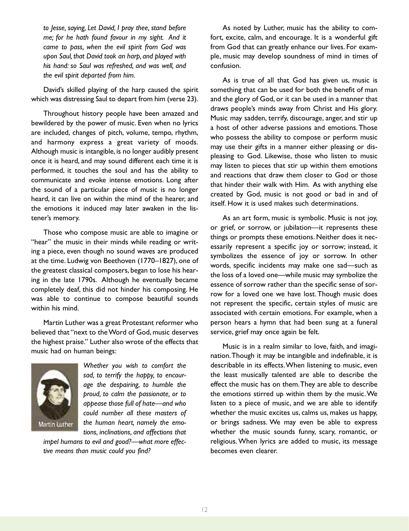*to Jesse, saying, Let David, I pray thee, stand before me; for he hath found favour in my sight. And it came to pass, when the evil spirit from God was upon Saul, that David took an harp, and played with his hand: so Saul was refreshed, and was well, and the evil spirit departed from him.*

David's skilled playing of the harp caused the spirit which was distressing Saul to depart from him (verse 23).

Throughout history people have been amazed and bewildered by the power of music. Even when no lyrics are included, changes of pitch, volume, tempo, rhythm, and harmony express a great variety of moods. Although music is intangible, is no longer audibly present once it is heard, and may sound different each time it is performed, it touches the soul and has the ability to communicate and evoke intense emotions. Long after the sound of a particular piece of music is no longer heard, it can live on within the mind of the hearer, and the emotions it induced may later awaken in the listener's memory.

Those who compose music are able to imagine or "hear" the music in their minds while reading or writing a piece, even though no sound waves are produced at the time. Ludwig von Beethoven (1770–1827), one of the greatest classical composers, began to lose his hearing in the late 1790s. Although he eventually became completely deaf, this did not hinder his composing. He was able to continue to compose beautiful sounds within his mind.

Martin Luther was a great Protestant reformer who believed that "next to theWord of God, music deserves the highest praise." Luther also wrote of the effects that music had on human beings:



*Whether you wish to comfort the sad, to terrify the happy, to encourage the despairing, to humble the proud, to calm the passionate, or to appease those full of hate—and who could number all these masters of the human heart, namely the emotions, inclinations, and affections that*

*impel humans to evil and good?—what more effective means than music could you find?*

As noted by Luther, music has the ability to comfort, excite, calm, and encourage. It is a wonderful gift from God that can greatly enhance our lives. For example, music may develop soundness of mind in times of confusion.

As is true of all that God has given us, music is something that can be used for both the benefit of man and the glory of God, or it can be used in a manner that draws people's minds away from Christ and His glory. Music may sadden, terrify, discourage, anger, and stir up a host of other adverse passions and emotions.Those who possess the ability to compose or perform music may use their gifts in a manner either pleasing or displeasing to God. Likewise, those who listen to music may listen to pieces that stir up within them emotions and reactions that draw them closer to God or those that hinder their walk with Him. As with anything else created by God, music is not good or bad in and of itself. How it is used makes such determinations.

As an art form, music is symbolic. Music is not joy, or grief, or sorrow, or jubilation—it represents these things or prompts these emotions. Neither does it necessarily represent a specific joy or sorrow; instead, it symbolizes the essence of joy or sorrow. In other words, specific incidents may make one sad—such as the loss of a loved one—while music may symbolize the essence of sorrow rather than the specific sense of sorrow for a loved one we have lost.Though music does not represent the specific, certain styles of music are associated with certain emotions. For example, when a person hears a hymn that had been sung at a funeral service, grief may once again be felt.

Music is in a realm similar to love, faith, and imagination.Though it may be intangible and indefinable, it is describable in its effects.When listening to music, even the least musically talented are able to describe the effect the music has on them.They are able to describe the emotions stirred up within them by the music.We listen to a piece of music, and we are able to identify whether the music excites us, calms us, makes us happy, or brings sadness. We may even be able to express whether the music sounds funny, scary, romantic, or religious.When lyrics are added to music, its message becomes even clearer.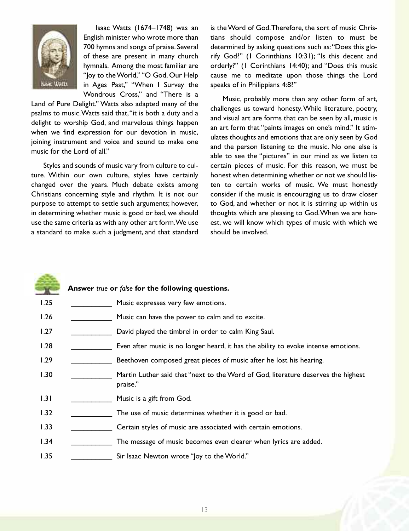

Isaac Watts (1674–1748) was an English minister who wrote more than 700 hymns and songs of praise. Several of these are present in many church hymnals. Among the most familiar are "Joy to theWorld," "O God, Our Help in Ages Past," "When I Survey the Wondrous Cross," and "There is a

Land of Pure Delight." Watts also adapted many of the psalms to music.Watts said that,"it is both a duty and a delight to worship God, and marvelous things happen when we find expression for our devotion in music, joining instrument and voice and sound to make one music for the Lord of all."

Styles and sounds of music vary from culture to culture. Within our own culture, styles have certainly changed over the years. Much debate exists among Christians concerning style and rhythm. It is not our purpose to attempt to settle such arguments; however, in determining whether music is good or bad, we should use the same criteria as with any other art form.We use a standard to make such a judgment, and that standard is theWord of God.Therefore, the sort of music Christians should compose and/or listen to must be determined by asking questions such as:"Does this glorify God?" (1 Corinthians 10:31); "Is this decent and orderly?" (1 Corinthians 14:40); and "Does this music cause me to meditate upon those things the Lord speaks of in Philippians 4:8?"

Music, probably more than any other form of art, challenges us toward honesty.While literature, poetry, and visual art are forms that can be seen by all, music is an art form that "paints images on one's mind." It stimulates thoughts and emotions that are only seen by God and the person listening to the music. No one else is able to see the "pictures" in our mind as we listen to certain pieces of music. For this reason, we must be honest when determining whether or not we should listen to certain works of music. We must honestly consider if the music is encouraging us to draw closer to God, and whether or not it is stirring up within us thoughts which are pleasing to God.When we are honest, we will know which types of music with which we should be involved.

|      | Answer true or false for the following questions.                                             |
|------|-----------------------------------------------------------------------------------------------|
| 1.25 | Music expresses very few emotions.                                                            |
| 1.26 | Music can have the power to calm and to excite.                                               |
| 1.27 | David played the timbrel in order to calm King Saul.                                          |
| 1.28 | Even after music is no longer heard, it has the ability to evoke intense emotions.            |
| 1.29 | Beethoven composed great pieces of music after he lost his hearing.                           |
| 1.30 | Martin Luther said that "next to the Word of God, literature deserves the highest<br>praise." |
| 1.31 | Music is a gift from God.                                                                     |
| 1.32 | The use of music determines whether it is good or bad.                                        |
| 1.33 | Certain styles of music are associated with certain emotions.                                 |
| 1.34 | The message of music becomes even clearer when lyrics are added.                              |
| 1.35 | Sir Isaac Newton wrote "Joy to the World."                                                    |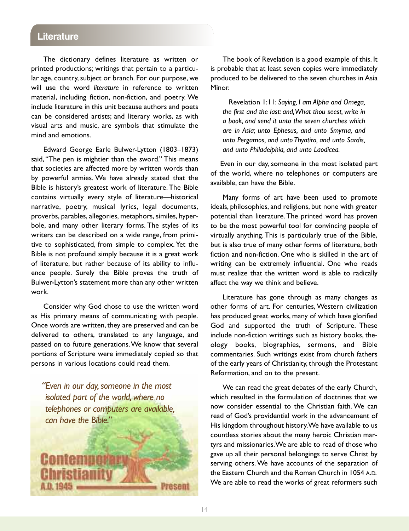#### **Literature**

The dictionary defines literature as written or printed productions; writings that pertain to a particular age, country, subject or branch. For our purpose, we will use the word *literature* in reference to written material, including fiction, non-fiction, and poetry. We include literature in this unit because authors and poets can be considered artists; and literary works, as with visual arts and music, are symbols that stimulate the mind and emotions.

Edward George Earle Bulwer-Lytton (1803–1873) said, "The pen is mightier than the sword." This means that societies are affected more by written words than by powerful armies. We have already stated that the Bible is history's greatest work of literature.The Bible contains virtually every style of literature—historical narrative, poetry, musical lyrics, legal documents, proverbs, parables, allegories, metaphors, similes, hyperbole, and many other literary forms. The styles of its writers can be described on a wide range, from primitive to sophisticated, from simple to complex. Yet the Bible is not profound simply because it is a great work of literature, but rather because of its ability to influence people. Surely the Bible proves the truth of Bulwer-Lytton's statement more than any other written work.

Consider why God chose to use the written word as His primary means of communicating with people. Once words are written, they are preserved and can be delivered to others, translated to any language, and passed on to future generations.We know that several portions of Scripture were immediately copied so that persons in various locations could read them.

*"Even in our day,someone in the most isolated part of the world,where no telephones or computers are available, can have the Bible."*

Contemp

A.D. 1945

The book of Revelation is a good example of this. It is probable that at least seven copies were immediately produced to be delivered to the seven churches in Asia Minor.

Revelation 1:11: *Saying, I am Alpha and Omega, the first and the last: and,What thou seest, write in a book, and send it unto the seven churches which are in Asia; unto Ephesus, and unto Smyrna, and unto Pergamos, and unto Thyatira, and unto Sardis, and unto Philadelphia, and unto Laodicea.*

Even in our day, someone in the most isolated part of the world, where no telephones or computers are available, can have the Bible.

Many forms of art have been used to promote ideals, philosophies, and religions, but none with greater potential than literature.The printed word has proven to be the most powerful tool for convincing people of virtually anything. This is particularly true of the Bible, but is also true of many other forms of literature, both fiction and non-fiction. One who is skilled in the art of writing can be extremely influential. One who reads must realize that the written word is able to radically affect the way we think and believe.

Literature has gone through as many changes as other forms of art. For centuries, Western civilization has produced great works, many of which have glorified God and supported the truth of Scripture. These include non-fiction writings such as history books, theology books, biographies, sermons, and Bible commentaries. Such writings exist from church fathers of the early years of Christianity, through the Protestant Reformation, and on to the present.

We can read the great debates of the early Church, which resulted in the formulation of doctrines that we now consider essential to the Christian faith. We can read of God's providential work in the advancement of His kingdom throughout history.We have available to us countless stories about the many heroic Christian martyrs and missionaries.We are able to read of those who gave up all their personal belongings to serve Christ by serving others.We have accounts of the separation of the Eastern Church and the Roman Church in 1054 A.D. We are able to read the works of great reformers such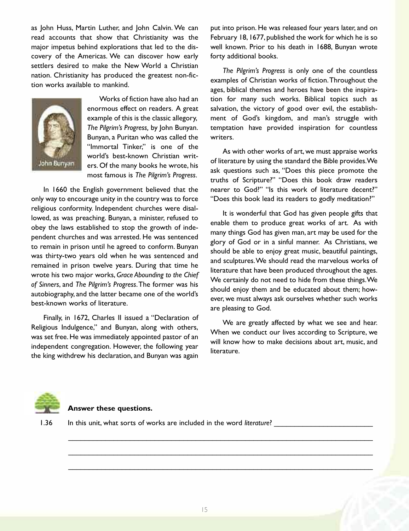as John Huss, Martin Luther, and John Calvin. We can read accounts that show that Christianity was the major impetus behind explorations that led to the discovery of the Americas. We can discover how early settlers desired to make the New World a Christian nation. Christianity has produced the greatest non-fiction works available to mankind.



Works of fiction have also had an enormous effect on readers. A great example of this is the classic allegory, *The Pilgrim's Progress,* by John Bunyan. Bunyan, a Puritan who was called the "Immortal Tinker," is one of the world's best-known Christian writers. Of the many books he wrote, his most famous is *The Pilgrim's Progress*.

In 1660 the English government believed that the only way to encourage unity in the country was to force religious conformity. Independent churches were disallowed, as was preaching. Bunyan, a minister, refused to obey the laws established to stop the growth of independent churches and was arrested. He was sentenced to remain in prison until he agreed to conform. Bunyan was thirty-two years old when he was sentenced and remained in prison twelve years. During that time he wrote his two major works, *Grace Abounding to the Chief of Sinners*, and *The Pilgrim's Progress*.The former was his autobiography, and the latter became one of the world's best-known works of literature.

Finally, in 1672, Charles II issued a "Declaration of Religious Indulgence," and Bunyan, along with others, was set free. He was immediately appointed pastor of an independent congregation. However, the following year the king withdrew his declaration, and Bunyan was again

put into prison. He was released four years later, and on February 18, 1677, published the work for which he is so well known. Prior to his death in 1688, Bunyan wrote forty additional books.

*The Pilgrim's Progress* is only one of the countless examples of Christian works of fiction.Throughout the ages, biblical themes and heroes have been the inspiration for many such works. Biblical topics such as salvation, the victory of good over evil, the establishment of God's kingdom, and man's struggle with temptation have provided inspiration for countless writers.

As with other works of art, we must appraise works of literature by using the standard the Bible provides.We ask questions such as, "Does this piece promote the truths of Scripture?" "Does this book draw readers nearer to God?" "Is this work of literature decent?" "Does this book lead its readers to godly meditation?"

It is wonderful that God has given people gifts that enable them to produce great works of art. As with many things God has given man, art may be used for the glory of God or in a sinful manner. As Christians, we should be able to enjoy great music, beautiful paintings, and sculptures.We should read the marvelous works of literature that have been produced throughout the ages. We certainly do not need to hide from these things.We should enjoy them and be educated about them; however, we must always ask ourselves whether such works are pleasing to God.

We are greatly affected by what we see and hear. When we conduct our lives according to Scripture, we will know how to make decisions about art, music, and literature.



#### **Answer these questions.**

1.36 In this unit, what sorts of works are included in the word *literature*?

\_\_\_\_\_\_\_\_\_\_\_\_\_\_\_\_\_\_\_\_\_\_\_\_\_\_\_\_\_\_\_\_\_\_\_\_\_\_\_\_\_\_\_\_\_\_\_\_\_\_\_\_\_\_\_\_\_\_\_\_\_\_\_\_\_\_\_\_\_\_\_\_\_\_

\_\_\_\_\_\_\_\_\_\_\_\_\_\_\_\_\_\_\_\_\_\_\_\_\_\_\_\_\_\_\_\_\_\_\_\_\_\_\_\_\_\_\_\_\_\_\_\_\_\_\_\_\_\_\_\_\_\_\_\_\_\_\_\_\_\_\_\_\_\_\_\_\_\_

\_\_\_\_\_\_\_\_\_\_\_\_\_\_\_\_\_\_\_\_\_\_\_\_\_\_\_\_\_\_\_\_\_\_\_\_\_\_\_\_\_\_\_\_\_\_\_\_\_\_\_\_\_\_\_\_\_\_\_\_\_\_\_\_\_\_\_\_\_\_\_\_\_\_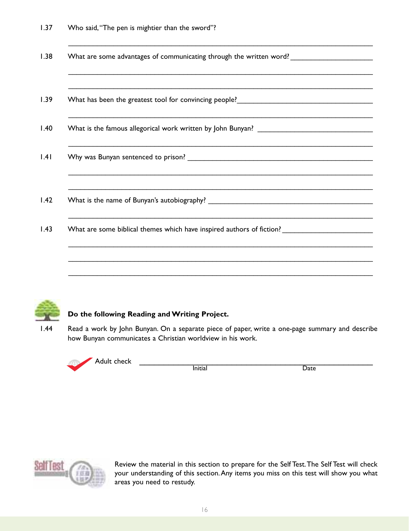| ,我们也不会有什么?""我们的人,我们也不会有什么?""我们的人,我们也不会有什么?""我们的人,我们也不会有什么?""我们的人,我们也不会有什么?""我们的人 |
|----------------------------------------------------------------------------------|
|                                                                                  |
|                                                                                  |

\_\_\_\_\_\_\_\_\_\_\_\_\_\_\_\_\_\_\_\_\_\_\_\_\_\_\_\_\_\_\_\_\_\_\_\_\_\_\_\_\_\_\_\_\_\_\_\_\_\_\_\_\_\_\_\_\_\_\_\_\_\_\_\_\_\_\_\_\_\_\_\_\_\_



#### **Do the following Reading andWriting Project.**

1.44 Read a work by John Bunyan. On a separate piece of paper, write a one-page summary and describe how Bunyan communicates a Christian worldview in his work.





Review the material in this section to prepare for the Self Test.The Self Test will check your understanding of this section.Any items you miss on this test will show you what areas you need to restudy.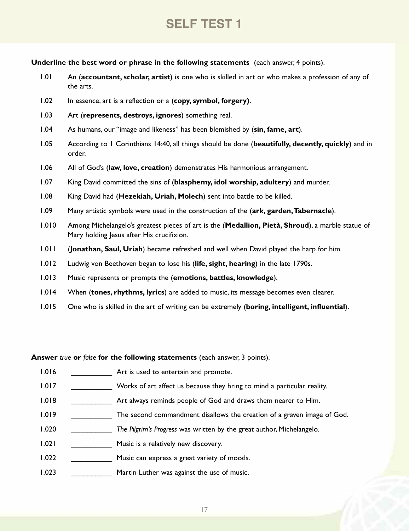## **SeLF teSt 1**

**Underline the best word or phrase in the following statements** (each answer, 4 points).

- 1.01 An (**accountant, scholar, artist**) is one who is skilled in art or who makes a profession of any of the arts.
- 1.02 In essence, art is a reflection or a (**copy, symbol, forgery)**.
- 1.03 Art (**represents, destroys, ignores**) something real.
- 1.04 As humans, our "image and likeness" has been blemished by (**sin, fame, art**).
- 1.05 According to 1 Corinthians 14:40, all things should be done (**beautifully, decently, quickly**) and in order.
- 1.06 All of God's (**law, love, creation**) demonstrates His harmonious arrangement.
- 1.07 King David committed the sins of (**blasphemy, idol worship, adultery**) and murder.
- 1.08 King David had (**Hezekiah, Uriah, Molech**) sent into battle to be killed.
- 1.09 Many artistic symbols were used in the construction of the (**ark, garden,Tabernacle**).
- 1.010 Among Michelangelo's greatest pieces of art is the (**Medallion, Pietà, Shroud**), a marble statue of Mary holding Jesus after His crucifixion.
- 1.011 (**Jonathan, Saul, Uriah**) became refreshed and well when David played the harp for him.
- 1.012 Ludwig von Beethoven began to lose his (**life, sight, hearing**) in the late 1790s.
- 1.013 Music represents or prompts the (**emotions, battles, knowledge**).
- 1.014 When (**tones, rhythms, lyrics**) are added to music, its message becomes even clearer.
- 1.015 One who is skilled in the art of writing can be extremely (**boring, intelligent, influential**).

**Answer** *true* **or** *false* **for the following statements** (each answer, 3 points).

- 1.016 \_\_\_\_\_\_\_\_\_\_\_\_\_\_\_\_\_\_\_ Art is used to entertain and promote.
- 1.017 Works of art affect us because they bring to mind a particular reality.
- 1.018 \_\_\_\_\_\_\_\_\_\_\_\_\_\_ Art always reminds people of God and draws them nearer to Him.
- 1.019 **\_\_\_\_\_\_\_\_\_\_** The second commandment disallows the creation of a graven image of God.
- 1.020 \_\_\_\_\_\_\_\_\_\_ *The Pilgrim's Progress* was written by the great author, Michelangelo.
- 1.021 \_\_\_\_\_\_\_\_\_\_\_\_\_\_\_\_ Music is a relatively new discovery.
- 1.022 Music can express a great variety of moods.
- 1.023 \_\_\_\_\_\_\_\_\_\_\_\_\_\_\_ Martin Luther was against the use of music.